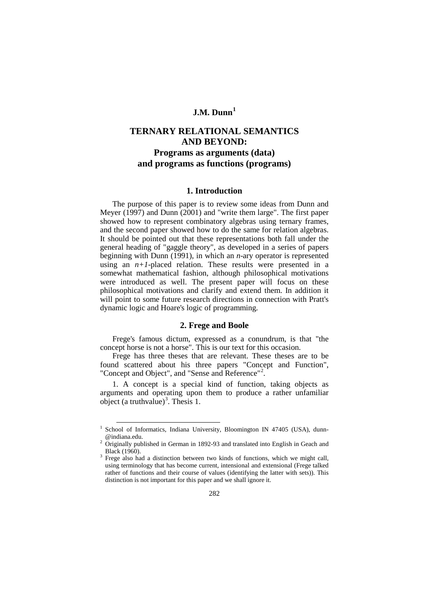## **J.M. Dunn[1](#page-0-0)**

# **TERNARY RELATIONAL SEMANTICS AND BEYOND: Programs as arguments (data) and programs as functions (programs)**

## **1. Introduction**

The purpose of this paper is to review some ideas from Dunn and Meyer (1997) and Dunn (2001) and "write them large". The first paper showed how to represent combinatory algebras using ternary frames, and the second paper showed how to do the same for relation algebras. It should be pointed out that these representations both fall under the general heading of "gaggle theory", as developed in a series of papers beginning with Dunn (1991), in which an *n*-ary operator is represented using an  $n+1$ -placed relation. These results were presented in a somewhat mathematical fashion, although philosophical motivations were introduced as well. The present paper will focus on these philosophical motivations and clarify and extend them. In addition it will point to some future research directions in connection with Pratt's dynamic logic and Hoare's logic of programming.

## **2. Frege and Boole**

Frege's famous dictum, expressed as a conundrum, is that "the concept horse is not a horse". This is our text for this occasion.

Frege has three theses that are relevant. These theses are to be found scattered about his three papers "Concept and Function", "Concept and Object", and "Sense and Reference"<sup>[2](#page-0-1)</sup>.

1. A concept is a special kind of function, taking objects as arguments and operating upon them to produce a rather unfamiliar object (a truthvalue)<sup>[3](#page-0-2)</sup>. Thesis 1.

School of Informatics, Indiana University, Bloomington IN 47405 (USA), dunn-

<span id="page-0-1"></span><span id="page-0-0"></span><sup>@</sup>indiana.edu.<br>
<sup>2</sup> Originally published in German in 1892-93 and translated into English in Geach and Black (1960).

<span id="page-0-2"></span>Frege also had a distinction between two kinds of functions, which we might call, using terminology that has become current, intensional and extensional (Frege talked rather of functions and their course of values (identifying the latter with sets)). This distinction is not important for this paper and we shall ignore it.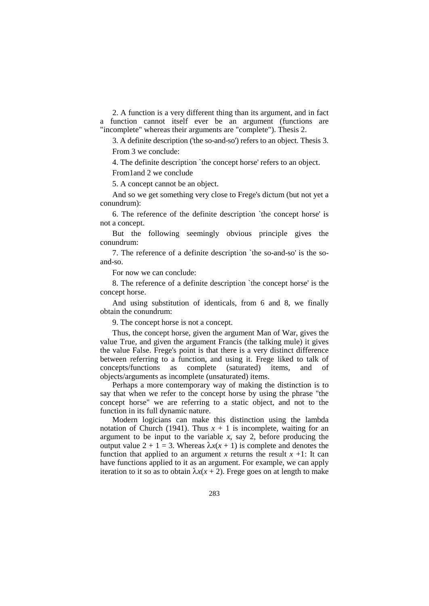2. A function is a very different thing than its argument, and in fact a function cannot itself ever be an argument (functions are "incomplete" whereas their arguments are "complete"). Thesis 2.

3. A definite description ('the so-and-so') refers to an object. Thesis 3. From 3 we conclude:

4. The definite description `the concept horse' refers to an object.

From1and 2 we conclude

5. A concept cannot be an object.

And so we get something very close to Frege's dictum (but not yet a conundrum):

6. The reference of the definite description `the concept horse' is not a concept.

But the following seemingly obvious principle gives the conundrum:

7. The reference of a definite description `the so-and-so' is the soand-so.

For now we can conclude:

8. The reference of a definite description `the concept horse' is the concept horse.

And using substitution of identicals, from 6 and 8, we finally obtain the conundrum:

9. The concept horse is not a concept.

Thus, the concept horse, given the argument Man of War, gives the value True, and given the argument Francis (the talking mule) it gives the value False. Frege's point is that there is a very distinct difference between referring to a function, and using it. Frege liked to talk of concepts/functions as complete (saturated) items, and of concepts/functions as complete (saturated) items, and objects/arguments as incomplete (unsaturated) items.

Perhaps a more contemporary way of making the distinction is to say that when we refer to the concept horse by using the phrase "the concept horse" we are referring to a static object, and not to the function in its full dynamic nature.

Modern logicians can make this distinction using the lambda notation of Church (1941). Thus  $x + 1$  is incomplete, waiting for an argument to be input to the variable  $x$ , say 2, before producing the output value  $2 + 1 = 3$ . Whereas  $λx(x + 1)$  is complete and denotes the function that applied to an argument *x* returns the result  $x +1$ : It can have functions applied to it as an argument. For example, we can apply iteration to it so as to obtain  $\lambda x(x + 2)$ . Frege goes on at length to make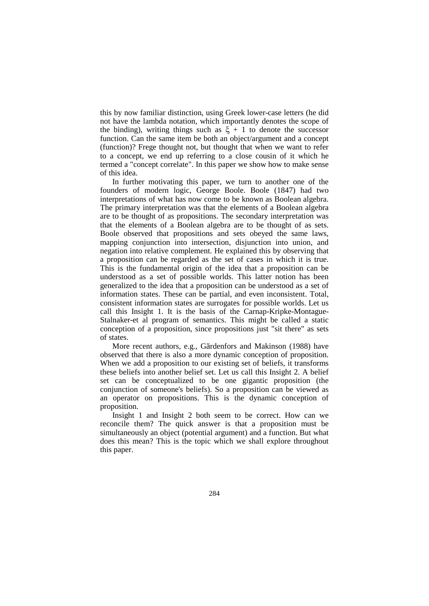this by now familiar distinction, using Greek lower-case letters (he did not have the lambda notation, which importantly denotes the scope of the binding), writing things such as  $\xi + 1$  to denote the successor function. Can the same item be both an object/argument and a concept (function)? Frege thought not, but thought that when we want to refer to a concept, we end up referring to a close cousin of it which he termed a "concept correlate". In this paper we show how to make sense of this idea.

In further motivating this paper, we turn to another one of the founders of modern logic, George Boole. Boole (1847) had two interpretations of what has now come to be known as Boolean algebra. The primary interpretation was that the elements of a Boolean algebra are to be thought of as propositions. The secondary interpretation was that the elements of a Boolean algebra are to be thought of as sets. Boole observed that propositions and sets obeyed the same laws, mapping conjunction into intersection, disjunction into union, and negation into relative complement. He explained this by observing that a proposition can be regarded as the set of cases in which it is true. This is the fundamental origin of the idea that a proposition can be understood as a set of possible worlds. This latter notion has been generalized to the idea that a proposition can be understood as a set of information states. These can be partial, and even inconsistent. Total, consistent information states are surrogates for possible worlds. Let us call this Insight 1. It is the basis of the Carnap-Kripke-Montague-Stalnaker-et al program of semantics. This might be called a static conception of a proposition, since propositions just "sit there" as sets of states.

More recent authors, e.g., Gärdenfors and Makinson (1988) have observed that there is also a more dynamic conception of proposition. When we add a proposition to our existing set of beliefs, it transforms these beliefs into another belief set. Let us call this Insight 2. A belief set can be conceptualized to be one gigantic proposition (the conjunction of someone's beliefs). So a proposition can be viewed as an operator on propositions. This is the dynamic conception of proposition.

Insight 1 and Insight 2 both seem to be correct. How can we reconcile them? The quick answer is that a proposition must be simultaneously an object (potential argument) and a function. But what does this mean? This is the topic which we shall explore throughout this paper.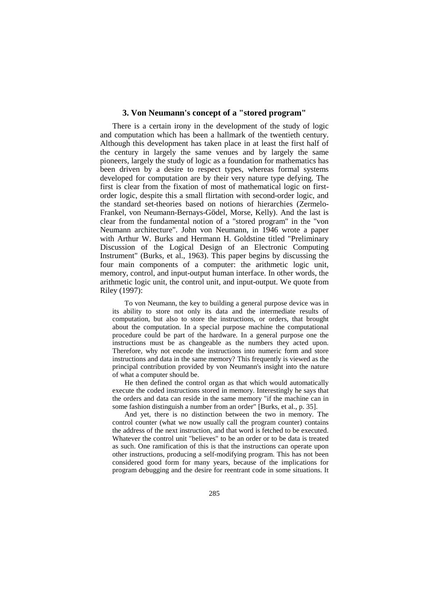### **3. Von Neumann's concept of a "stored program"**

There is a certain irony in the development of the study of logic and computation which has been a hallmark of the twentieth century. Although this development has taken place in at least the first half of the century in largely the same venues and by largely the same pioneers, largely the study of logic as a foundation for mathematics has been driven by a desire to respect types, whereas formal systems developed for computation are by their very nature type defying. The first is clear from the fixation of most of mathematical logic on firstorder logic, despite this a small flirtation with second-order logic, and the standard set-theories based on notions of hierarchies (Zermelo-Frankel, von Neumann-Bernays-Gödel, Morse, Kelly). And the last is clear from the fundamental notion of a "stored program" in the "von Neumann architecture". John von Neumann, in 1946 wrote a paper with Arthur W. Burks and Hermann H. Goldstine titled "Preliminary Discussion of the Logical Design of an Electronic Computing Instrument" (Burks, et al., 1963). This paper begins by discussing the four main components of a computer: the arithmetic logic unit, memory, control, and input-output human interface. In other words, the arithmetic logic unit, the control unit, and input-output. We quote from Riley (1997):

To von Neumann, the key to building a general purpose device was in its ability to store not only its data and the intermediate results of computation, but also to store the instructions, or orders, that brought about the computation. In a special purpose machine the computational procedure could be part of the hardware. In a general purpose one the instructions must be as changeable as the numbers they acted upon. Therefore, why not encode the instructions into numeric form and store instructions and data in the same memory? This frequently is viewed as the principal contribution provided by von Neumann's insight into the nature of what a computer should be.

He then defined the control organ as that which would automatically execute the coded instructions stored in memory. Interestingly he says that the orders and data can reside in the same memory "if the machine can in some fashion distinguish a number from an order" [Burks, et al., p. 35].

And yet, there is no distinction between the two in memory. The control counter (what we now usually call the program counter) contains the address of the next instruction, and that word is fetched to be executed. Whatever the control unit "believes" to be an order or to be data is treated as such. One ramification of this is that the instructions can operate upon other instructions, producing a self-modifying program. This has not been considered good form for many years, because of the implications for program debugging and the desire for reentrant code in some situations. It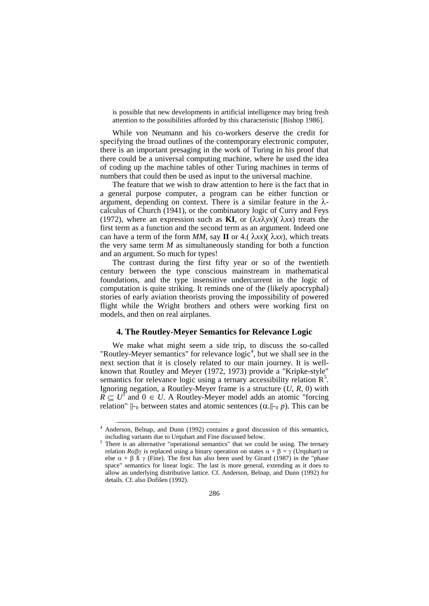is possible that new developments in artificial intelligence may bring fresh attention to the possibilities afforded by this characteristic [Bishop 1986].

While von Neumann and his co-workers deserve the credit for specifying the broad outlines of the contemporary electronic computer, there is an important presaging in the work of Turing in his proof that there could be a universal computing machine, where he used the idea of coding up the machine tables of other Turing machines in terms of numbers that could then be used as input to the universal machine.

The feature that we wish to draw attention to here is the fact that in a general purpose computer, a program can be either function or argument, depending on context. There is a similar feature in the  $\lambda$ calculus of Church (1941), or the combinatory logic of Curry and Feys (1972), where an expression such as **KI**, or  $(\lambda x \lambda yx)(\lambda xx)$  treats the first term as a function and the second term as an argument. Indeed one can have a term of the form  $MM$ , say **II** or 4.( $\lambda xx$ )( $\lambda xx$ ), which treats the very same term  $M$  as simultaneously standing for both a function and an argument. So much for types!

The contrast during the first fifty year or so of the twentieth century between the type conscious mainstream in mathematical foundations, and the type insensitive undercurrent in the logic of computation is quite striking. It reminds one of the (likely apocryphal) stories of early aviation theorists proving the impossibility of powered flight while the Wright brothers and others were working first on models, and then on real airplanes.

## **4. The Routley-Meyer Semantics for Relevance Logic**

We make what might seem a side trip, to discuss the so-called "Routley-Meyer semantics" for relevance  $logic<sup>4</sup>$  $logic<sup>4</sup>$  $logic<sup>4</sup>$ , but we shall see in the next section that it is closely related to our main journey. It is wellknown that Routley and Meyer (1972, 1973) provide a "Kripke-style" semantics for relevance logic using a ternary accessibility relation  $R^5$  $R^5$ . Ignoring negation, a Routley-Meyer frame is a structure (*U*, *R*, 0) with  $\overline{R} \subseteq U^3$  and  $0 \in U$ . A Routley-Meyer model adds an atomic "forcing relation"  $\parallel$ -<sub>0</sub> between states and atomic sentences ( $\alpha$ . $\parallel$ -<sub>0</sub> *p*). This can be

<span id="page-4-0"></span><sup>&</sup>lt;sup>4</sup> Anderson, Belnap, and Dunn (1992) contains a good discussion of this semantics, including variants due to Urquhart and Fine discussed below.

 $\frac{5}{\text{There is an alternative "operational semantics" that we could be using. The ternary$ relation *R*αβγ is replaced using a binary operation on states  $\alpha + \beta = \gamma$  (Urquhart) or else  $\alpha + \beta$  š  $\gamma$  (Fine). The first has also been used by Girard (1987) in the "phase space" semantics for linear logic. The last is more general, extending as it does to allow an underlying distributive lattice. Cf. Anderson, Belnap, and Dunn (1992) for details. Cf. also Dofišen (1992).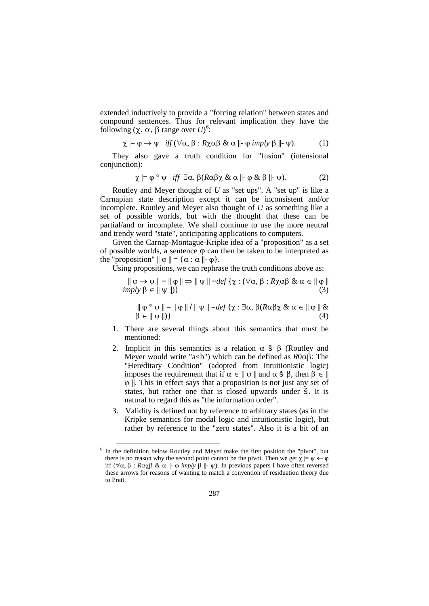extended inductively to provide a "forcing relation" between states and compound sentences. Thus for relevant implication they have the following ( $\chi$ ,  $\alpha$ ,  $\beta$  range over *U*)<sup>[6](#page-5-0)</sup>:

$$
\chi \models \varphi \rightarrow \psi \quad \text{iff} \ (\forall \alpha, \beta : R \chi \alpha \beta \ \& \ \alpha \ \Vdash \varphi \ \text{imply} \ \beta \ \Vdash \psi). \tag{1}
$$

They also gave a truth condition for "fusion" (intensional conjunction):

$$
\chi \models \varphi \circ \psi \quad \text{iff} \quad \exists \alpha, \beta (R\alpha\beta\chi \& \alpha \Vdash \varphi \& \beta \Vdash \psi). \tag{2}
$$

Routley and Meyer thought of *U* as "set ups". A "set up" is like a Carnapian state description except it can be inconsistent and/or incomplete. Routley and Meyer also thought of *U* as something like a set of possible worlds, but with the thought that these can be partial/and or incomplete. We shall continue to use the more neutral and trendy word "state", anticipating applications to computers.

Given the Carnap-Montague-Kripke idea of a "proposition" as a set of possible worlds, a sentence  $\varphi$  can then be taken to be interpreted as the "proposition"  $|| \varphi || = {\alpha : \alpha || \varphi}.$ 

Using propositions, we can rephrase the truth conditions above as:

$$
\|\varphi \to \psi\| = \|\varphi\| \Rightarrow \|\psi\| = \text{def}\{\chi : (\forall \alpha, \beta : R\chi\alpha\beta \& \alpha \in \|\varphi\|)
$$
\n
$$
\text{imply } \beta \in \|\psi\|\}
$$
\n(3)

$$
\|\varphi \circ \psi\| = \|\varphi\| / \|\psi\| = \text{def}\{\chi : \exists \alpha, \beta(R\alpha\beta\chi \& \alpha \in \|\varphi\| \& \beta \in \|\psi\|\}
$$
\n(4)

- 1. There are several things about this semantics that must be mentioned:
- 2. Implicit in this semantics is a relation  $\alpha$  **š**  $\beta$  (Routley and Meyer would write "a<b") which can be defined as *R*0αβ: The "Hereditary Condition" (adopted from intuitionistic logic) imposes the requirement that if  $\alpha \in || \varphi ||$  and  $\alpha \xi \beta$ , then  $\beta \in ||$  $\varphi$  ||. This in effect says that a proposition is not just any set of states, but rather one that is closed upwards under š. It is natural to regard this as "the information order".
- 3. Validity is defined not by reference to arbitrary states (as in the Kripke semantics for modal logic and intuitionistic logic), but rather by reference to the "zero states". Also it is a bit of an

<span id="page-5-0"></span> $6$  In the definition below Routley and Meyer make the first position the "pivot", but there is no reason why the second point cannot be the pivot. Then we get  $\gamma = \psi \leftarrow \varphi$ iff (∀α, β :  $Rαχβ$  & α ||- φ *imply* β ||- ψ). In previous papers I have often reversed these arrows for reasons of wanting to match a convention of residuation theory due to Pratt.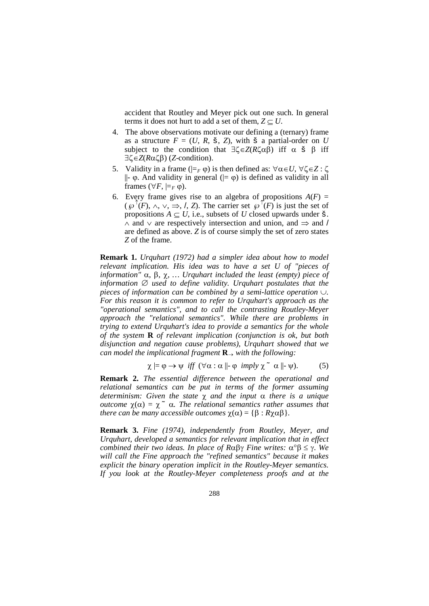accident that Routley and Meyer pick out one such. In general terms it does not hurt to add a set of them,  $Z \subset U$ .

- 4. The above observations motivate our defining a (ternary) frame as a structure  $F = (U, R, \check{S}, Z)$ , with  $\check{S}$  a partial-order on *U* subject to the condition that  $\exists \zeta \in Z(R\zeta \alpha \beta)$  iff  $\alpha \xi \beta$  iff ∃ζ∈*Z*(*R*αζβ) (*Z*-condition).
- 5. Validity in a frame ( $\models$ *F* ϕ) is then defined as:  $∀α ∈ U$ ,  $∀ζ ∈ Z : ζ$  $\parallel$ -  $\varphi$ . And validity in general ( $\mid = \varphi$ ) is defined as validity in all frames ( $\forall F, \models_F \emptyset$ ).
- 6. Every frame gives rise to an algebra of propositions  $A(F)$  =  $(\wp^{\uparrow}(F), \wedge, \vee, \Rightarrow, \wedge, Z)$ . The carrier set  $\wp^{\uparrow}(F)$  is just the set of propositions  $A \subseteq U$ , i.e., subsets of *U* closed upwards under  $\check{\mathbf{s}}$ . ∧ and ∨ are respectively intersection and union, and ⇒ and / are defined as above. *Z* is of course simply the set of zero states *Z* of the frame.

**Remark 1.** *Urquhart (1972) had a simpler idea about how to model relevant implication. His idea was to have a set U of "pieces of information"* α*,* β*,* χ*, … Urquhart included the least (empty) piece of information* ∅ *used to define validity. Urquhart postulates that the pieces of information can be combined by a semi-lattice operation* ∪*. For this reason it is common to refer to Urquhart's approach as the "operational semantics", and to call the contrasting Routley-Meyer approach the "relational semantics". While there are problems in trying to extend Urquhart's idea to provide a semantics for the whole of the system* **R** *of relevant implication (conjunction is ok, but both disjunction and negation cause problems), Urquhart showed that we can model the implicational fragment* **R**<sup>→</sup> *with the following:*

$$
\chi \models \varphi \rightarrow \psi \ \text{iff} \ (\forall \alpha : \alpha \Vdash \varphi \ \text{imply} \ \chi \tilde{\phantom{a}} \ \alpha \Vdash \psi). \tag{5}
$$

**Remark 2.** *The essential difference between the operational and relational semantics can be put in terms of the former assuming determinism: Given the state* χ *and the input* α *there is a unique outcome*  $\chi(\alpha) = \chi^{\alpha} \alpha$ . The relational semantics rather assumes that *there can be many accessible outcomes*  $\chi(\alpha) = {\beta : R\chi\alpha\beta}$ .

**Remark 3.** *Fine (1974), independently from Routley, Meyer, and Urquhart, developed a semantics for relevant implication that in effect combined their two ideas. In place of R*αβγ *Fine writes:* α°β ≤ γ. *We will call the Fine approach the "refined semantics" because it makes explicit the binary operation implicit in the Routley-Meyer semantics. If you look at the Routley-Meyer completeness proofs and at the*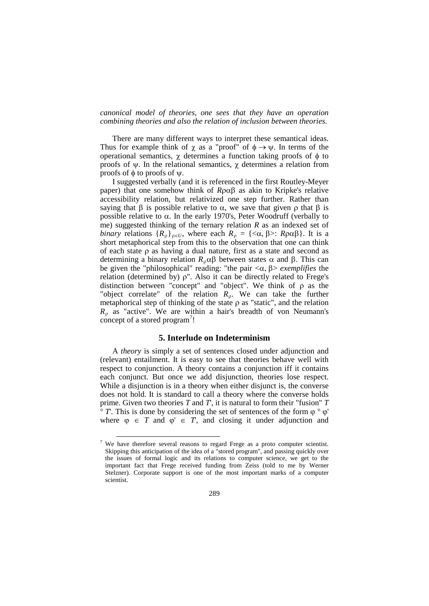*canonical model of theories, one sees that they have an operation combining theories and also the relation of inclusion between theories.*

There are many different ways to interpret these semantical ideas. Thus for example think of  $\chi$  as a "proof" of  $\phi \rightarrow \psi$ . In terms of the operational semantics, χ determines a function taking proofs of φ to proofs of ψ. In the relational semantics, χ determines a relation from proofs of φ to proofs of ψ.

I suggested verbally (and it is referenced in the first Routley-Meyer paper) that one somehow think of *R*ραβ as akin to Kripke's relative accessibility relation, but relativized one step further. Rather than saying that  $\beta$  is possible relative to  $\alpha$ , we save that given  $\rho$  that  $\beta$  is possible relative to α. In the early 1970's, Peter Woodruff (verbally to me) suggested thinking of the ternary relation *R* as an indexed set of *binary* relations  ${R_0}_{o \in U}$ , where each  $R_0 = {\langle \alpha, \beta \rangle}$ :  $R \rho \alpha \beta$ . It is a short metaphorical step from this to the observation that one can think of each state ρ as having a dual nature, first as a state and second as determining a binary relation *R*ραβ between states α and β. This can be given the "philosophical" reading: "the pair  $\langle \alpha, \beta \rangle$  *exemplifies* the relation (determined by)  $\rho$ ". Also it can be directly related to Frege's distinction between "concept" and "object". We think of ρ as the "object correlate" of the relation  $R_p$ . We can take the further metaphorical step of thinking of the state  $\rho$  as "static", and the relation  $R_p$  as "active". We are within a hair's breadth of von Neumann's concept of a stored program<sup>[7](#page-7-0)</sup>!

## **5. Interlude on Indeterminism**

A *theory* is simply a set of sentences closed under adjunction and (relevant) entailment. It is easy to see that theories behave well with respect to conjunction. A theory contains a conjunction iff it contains each conjunct. But once we add disjunction, theories lose respect. While a disjunction is in a theory when either disjunct is, the converse does not hold. It is standard to call a theory where the converse holds prime. Given two theories *T* and *T*', it is natural to form their "fusion" *T*  $\degree$  *T*. This is done by considering the set of sentences of the form  $\phi \degree \phi'$ where  $\varphi \in T$  and  $\varphi' \in T$ , and closing it under adjunction and

<span id="page-7-0"></span> $7$  We have therefore several reasons to regard Frege as a proto computer scientist. Skipping this anticipation of the idea of a "stored program", and passing quickly over the issues of formal logic and its relations to computer science, we get to the important fact that Frege received funding from Zeiss (told to me by Werner Stelzner). Corporate support is one of the most important marks of a computer scientist.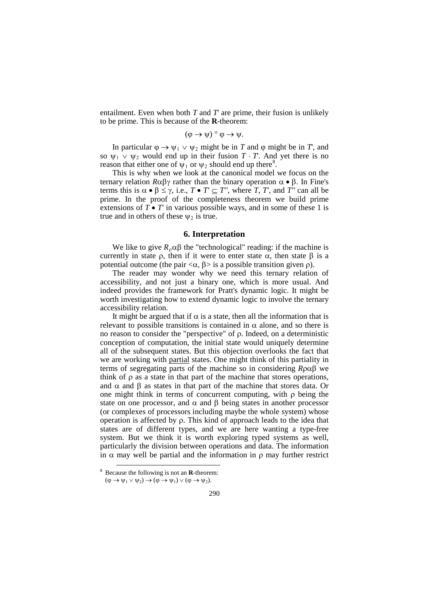entailment. Even when both  $T$  and  $T$  are prime, their fusion is unlikely to be prime. This is because of the **R**-theorem:

$$
(\varphi \to \psi) \circ \varphi \to \psi.
$$

In particular  $\varphi \to \psi_1 \vee \psi_2$  might be in *T* and  $\varphi$  might be in *T*, and so  $\psi_1 \lor \psi_2$  would end up in their fusion  $T \cdot T$ . And yet there is no reason that either one of  $\psi_1$  or  $\psi_2$  should end up there<sup>[8](#page-8-0)</sup>.

This is why when we look at the canonical model we focus on the ternary relation *R*αβγ rather than the binary operation α • β. In Fine's terms this is  $\alpha \bullet \beta \leq \gamma$ , i.e.,  $T \bullet T' \subseteq T''$ , where *T*, *T'*, and *T''* can all be prime. In the proof of the completeness theorem we build prime extensions of  $T \cdot T'$  in various possible ways, and in some of these 1 is true and in others of these  $\psi_2$  is true.

#### **6. Interpretation**

We like to give  $R_0 \alpha \beta$  the "technological" reading: if the machine is currently in state  $\rho$ , then if it were to enter state  $\alpha$ , then state  $\beta$  is a potential outcome (the pair  $\langle \alpha, \beta \rangle$  is a possible transition given ρ).

The reader may wonder why we need this ternary relation of accessibility, and not just a binary one, which is more usual. And indeed provides the framework for Pratt's dynamic logic. It might be worth investigating how to extend dynamic logic to involve the ternary accessibility relation.

It might be argued that if  $\alpha$  is a state, then all the information that is relevant to possible transitions is contained in  $\alpha$  alone, and so there is no reason to consider the "perspective" of ρ. Indeed, on a deterministic conception of computation, the initial state would uniquely determine all of the subsequent states. But this objection overlooks the fact that we are working with partial states. One might think of this partiality in terms of segregating parts of the machine so in considering *R*ραβ we think of  $\rho$  as a state in that part of the machine that stores operations, and  $\alpha$  and  $\beta$  as states in that part of the machine that stores data. Or one might think in terms of concurrent computing, with  $\rho$  being the state on one processor, and  $\alpha$  and  $\beta$  being states in another processor (or complexes of processors including maybe the whole system) whose operation is affected by ρ. This kind of approach leads to the idea that states are of different types, and we are here wanting a type-free system. But we think it is worth exploring typed systems as well, particularly the division between operations and data. The information in  $\alpha$  may well be partial and the information in  $\rho$  may further restrict

 $\ddot{\phantom{a}}$ 

<span id="page-8-0"></span><sup>8</sup> Because the following is not an **R**-theorem:  $(\varphi \to \psi_1 \lor \psi_2) \to (\varphi \to \psi_1) \lor (\varphi \to \psi_2).$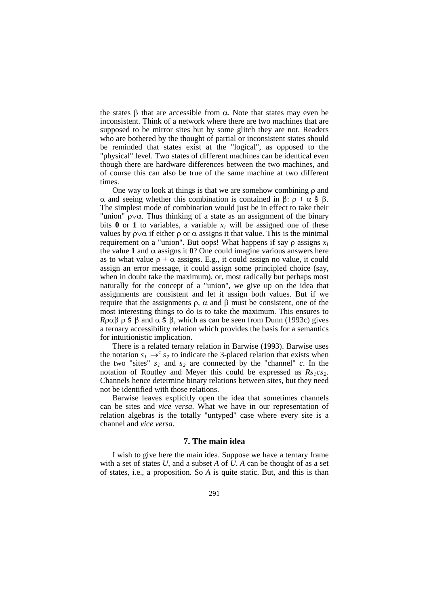the states β that are accessible from  $\alpha$ . Note that states may even be inconsistent. Think of a network where there are two machines that are supposed to be mirror sites but by some glitch they are not. Readers who are bothered by the thought of partial or inconsistent states should be reminded that states exist at the "logical", as opposed to the "physical" level. Two states of different machines can be identical even though there are hardware differences between the two machines, and of course this can also be true of the same machine at two different times.

One way to look at things is that we are somehow combining  $\rho$  and α and seeing whether this combination is contained in β:  $ρ + α \xi$  β. The simplest mode of combination would just be in effect to take their "union" ρ∨α. Thus thinking of a state as an assignment of the binary bits  $\bf{0}$  or  $\bf{1}$  to variables, a variable  $x_i$  will be assigned one of these values by  $ρ\vee α$  if either  $ρ$  or  $α$  assigns it that value. This is the minimal requirement on a "union". But oops! What happens if say  $\rho$  assigns  $x_i$ the value **1** and α assigns it  $\mathbf{0}$ ? One could imagine various answers here as to what value  $\rho + \alpha$  assigns. E.g., it could assign no value, it could assign an error message, it could assign some principled choice (say, when in doubt take the maximum), or, most radically but perhaps most naturally for the concept of a "union", we give up on the idea that assignments are consistent and let it assign both values. But if we require that the assignments ρ, α and β must be consistent, one of the most interesting things to do is to take the maximum. This ensures to *R*ραβ ρ š β and  $\alpha$  š β, which as can be seen from Dunn (1993c) gives a ternary accessibility relation which provides the basis for a semantics for intuitionistic implication.

There is a related ternary relation in Barwise (1993). Barwise uses the notation  $s_1 \mapsto^c s_2$  to indicate the 3-placed relation that exists when the two "sites"  $s_1$  and  $s_2$  are connected by the "channel"  $c$ . In the notation of Routley and Meyer this could be expressed as  $Rs_1cs_2$ . Channels hence determine binary relations between sites, but they need not be identified with those relations.

Barwise leaves explicitly open the idea that sometimes channels can be sites and *vice versa*. What we have in our representation of relation algebras is the totally "untyped" case where every site is a channel and *vice versa*.

## **7. The main idea**

I wish to give here the main idea. Suppose we have a ternary frame with a set of states  $U$ , and a subset  $A$  of  $U$ .  $A$  can be thought of as a set of states, i.e., a proposition. So *A* is quite static. But, and this is than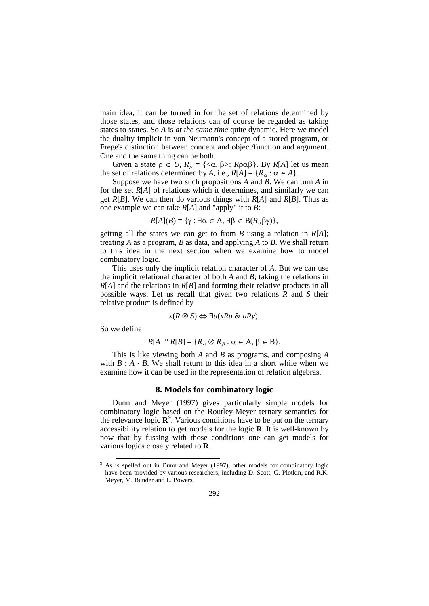main idea, it can be turned in for the set of relations determined by those states, and those relations can of course be regarded as taking states to states. So *A* is *at the same time* quite dynamic. Here we model the duality implicit in von Neumann's concept of a stored program, or Frege's distinction between concept and object/function and argument. One and the same thing can be both.

Given a state  $\rho \in U$ ,  $R_{\rho} = \{ \langle \alpha, \beta \rangle : R \rho \alpha \beta \}$ . By  $R[A]$  let us mean the set of relations determined by *A*, i.e.,  $R[A] = \{R_{\alpha} : \alpha \in A\}.$ 

Suppose we have two such propositions *A* and *B*. We can turn *A* in for the set *R*[*A*] of relations which it determines, and similarly we can get *R*[*B*]. We can then do various things with *R*[*A*] and *R*[*B*]. Thus as one example we can take *R*[*A*] and "apply" it to *B*:

$$
R[A](B) = \{ \gamma : \exists \alpha \in A, \exists \beta \in B(R_{\alpha}\beta\gamma) \},
$$

getting all the states we can get to from *B* using a relation in *R*[*A*]; treating *A* as a program, *B* as data, and applying *A* to *B*. We shall return to this idea in the next section when we examine how to model combinatory logic.

This uses only the implicit relation character of *A*. But we can use the implicit relational character of both *A* and *B*; taking the relations in *R*[*A*] and the relations in *R*[*B*] and forming their relative products in all possible ways. Let us recall that given two relations *R* and *S* their relative product is defined by

$$
x(R \otimes S) \Leftrightarrow \exists u(xRu \& uRy).
$$

So we define

 $\overline{a}$ 

$$
R[A] \circ R[B] = \{R_{\alpha} \otimes R_{\beta} : \alpha \in A, \beta \in B\}.
$$

This is like viewing both *A* and *B* as programs, and composing *A* with  $B : A \cdot B$ . We shall return to this idea in a short while when we examine how it can be used in the representation of relation algebras.

#### **8. Models for combinatory logic**

Dunn and Meyer (1997) gives particularly simple models for combinatory logic based on the Routley-Meyer ternary semantics for the relevance logic  $\mathbb{R}^9$  $\mathbb{R}^9$ . Various conditions have to be put on the ternary accessibility relation to get models for the logic **R**. It is well-known by now that by fussing with those conditions one can get models for various logics closely related to **R**.

<span id="page-10-0"></span> $9$  As is spelled out in Dunn and Meyer (1997), other models for combinatory logic have been provided by various researchers, including D. Scott, G. Plotkin, and R.K. Meyer, M. Bunder and L. Powers.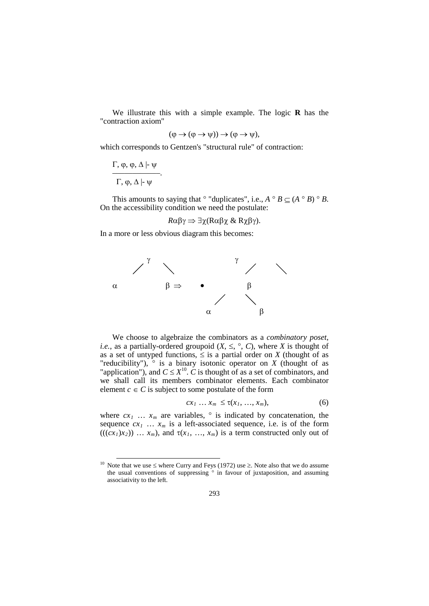We illustrate this with a simple example. The logic **R** has the "contraction axiom"

$$
(\varphi \to (\varphi \to \psi)) \to (\varphi \to \psi),
$$

which corresponds to Gentzen's "structural rule" of contraction:

Γ, φ, φ, Δ  $\vdash$  ψ ––––––––––––. Γ, ϕ, ∆ |- ψ

 $\overline{a}$ 

This amounts to saying that  $\circ$  "duplicates", i.e.,  $A \circ B \subseteq (A \circ B) \circ B$ . On the accessibility condition we need the postulate:

$$
R\alpha\beta\gamma \Rightarrow \exists \chi (R\alpha\beta\chi \& R\chi\beta\gamma).
$$

In a more or less obvious diagram this becomes:



We choose to algebraize the combinators as a *combinatory poset*, *i.e.*, as a partially-ordered groupoid  $(X, \leq, \degree, C)$ , where *X* is thought of as a set of untyped functions,  $\leq$  is a partial order on *X* (thought of as "reducibility"),  $\circ$  is a binary isotonic operator on *X* (thought of as "application"), and  $C \le X^{10}$ .  $\dot{C}$  is thought of as a set of combinators, and we shall call its members combinator elements. Each combinator element  $c \in C$  is subject to some postulate of the form

$$
cx_1 \ldots x_m \leq \tau(x_1, \ldots, x_m), \qquad (6)
$$

where  $cx_1$  ...  $x_m$  are variables,  $\circ$  is indicated by concatenation, the sequence  $cx_1 \ldots x_m$  is a left-associated sequence, i.e. is of the form  $(((cx_1)x_2))$  ...  $x_m$ ), and  $\tau(x_1, ..., x_m)$  is a term constructed only out of

<span id="page-11-0"></span><sup>&</sup>lt;sup>10</sup> Note that we use  $\leq$  where Curry and Feys (1972) use  $\geq$ . Note also that we do assume the usual conventions of suppressing  $\circ$  in favour of juxtaposition, and assuming associativity to the left.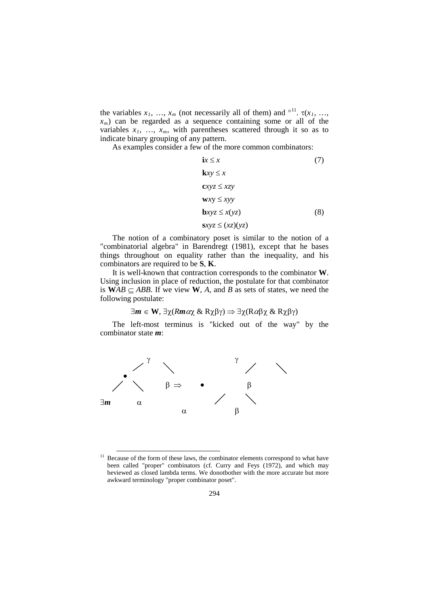the variables  $x_1, \ldots, x_m$  (not necessarily all of them) and <sup>oll</sup>.  $\tau(x_1, \ldots, x_m)$  $x_m$ ) can be regarded as a sequence containing some or all of the variables  $x_1$ , ...,  $x_m$ , with parentheses scattered through it so as to indicate binary grouping of any pattern.

As examples consider a few of the more common combinators:

$$
ix \le x \tag{7}
$$
\n
$$
kxy \le x
$$
\n
$$
cxyz \le xzy
$$
\n
$$
wxy \le xyy
$$
\n
$$
bxyz \le x(yz) \tag{8}
$$
\n
$$
sxyz \le (xz)(yz) \tag{9}
$$

The notion of a combinatory poset is similar to the notion of a "combinatorial algebra" in Barendregt (1981), except that he bases things throughout on equality rather than the inequality, and his combinators are required to be **S**, **K**.

It is well-known that contraction corresponds to the combinator **W**. Using inclusion in place of reduction, the postulate for that combinator is  $WAB \subseteq ABB$ . If we view W, A, and B as sets of states, we need the following postulate:

$$
\exists m \in W, \exists \chi (Rm \alpha \chi \& R \chi \beta \gamma) \Rightarrow \exists \chi (R \alpha \beta \chi \& R \chi \beta \gamma)
$$

The left-most terminus is "kicked out of the way" by the combinator state *m*:



<span id="page-12-0"></span> $11$  Because of the form of these laws, the combinator elements correspond to what have been called "proper" combinators (cf. Curry and Feys (1972), and which may beviewed as closed lambda terms. We donotbother with the more accurate but more awkward terminology "proper combinator poset".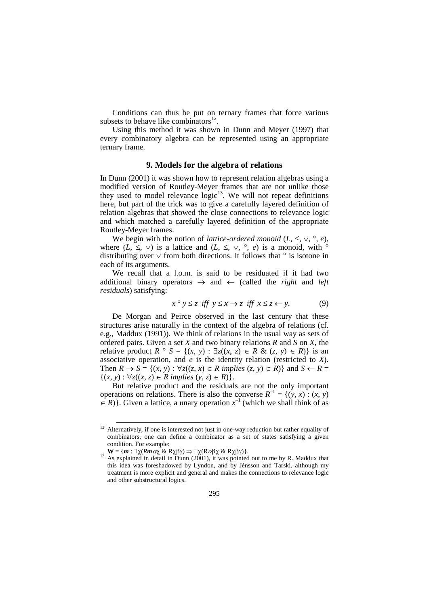Conditions can thus be put on ternary frames that force various subsets to behave like combinators $^{12}$  $^{12}$  $^{12}$ .

Using this method it was shown in Dunn and Meyer (1997) that every combinatory algebra can be represented using an appropriate ternary frame.

#### **9. Models for the algebra of relations**

In Dunn (2001) it was shown how to represent relation algebras using a modified version of Routley-Meyer frames that are not unlike those they used to model relevance  $logic<sup>13</sup>$  $logic<sup>13</sup>$  $logic<sup>13</sup>$ . We will not repeat definitions here, but part of the trick was to give a carefully layered definition of relation algebras that showed the close connections to relevance logic and which matched a carefully layered definition of the appropriate Routley-Meyer frames.

We begin with the notion of *lattice-ordered monoid* ( $L$ ,  $\leq$ ,  $\vee$ ,  $\circ$ ,  $e$ ), where  $(L, \leq, \vee)$  is a lattice and  $(L, \leq, \vee, \circ, e)$  is a monoid, with  $\circ$ distributing over  $\vee$  from both directions. It follows that  $\circ$  is isotone in each of its arguments.

We recall that a l.o.m. is said to be residuated if it had two additional binary operators → and ← (called the *right* and *left residuals*) satisfying:

$$
x \circ y \le z \text{ iff } y \le x \to z \text{ iff } x \le z \leftarrow y. \tag{9}
$$

De Morgan and Peirce observed in the last century that these structures arise naturally in the context of the algebra of relations (cf. e.g., Maddux (1991)). We think of relations in the usual way as sets of ordered pairs. Given a set *X* and two binary relations *R* and *S* on *X*, the relative product  $R \circ S = \{(x, y) : \exists z((x, z) \in R \& (z, y) \in R)\}\)$  is an associative operation, and *e* is the identity relation (restricted to *X*). Then  $R \to S = \{(x, y) : \forall z ((z, x) \in R \text{ implies } (z, y) \in R) \}$  and  $S \leftarrow R =$ {(*x*, *y*) : ∀*z*((*x*, *z*) ∈ *R implies* (*y*, *z*) ∈ *R*)}.

But relative product and the residuals are not the only important operations on relations. There is also the converse  $R^{-1} = \{(y, x) : (x, y)$  $\in$  *R*)}. Given a lattice, a unary operation  $x^{-1}$  (which we shall think of as

<span id="page-13-0"></span> $12$  Alternatively, if one is interested not just in one-way reduction but rather equality of combinators, one can define a combinator as a set of states satisfying a given condition. For example:<br>  $\mathbf{W} = \{ \mathbf{m} : \exists \chi (Rm \alpha \chi \& R\chi \beta \gamma) \Rightarrow \exists \chi (R \alpha \beta \chi \& R\chi \beta \gamma) \}.$ 

<sup>&</sup>lt;sup>13</sup> As explained in detail in Dunn (2001), it was pointed out to me by R. Maddux that this idea was foreshadowed by Lyndon, and by Jénsson and Tarski, although my treatment is more explicit and general and makes the connections to relevance logic and other substructural logics.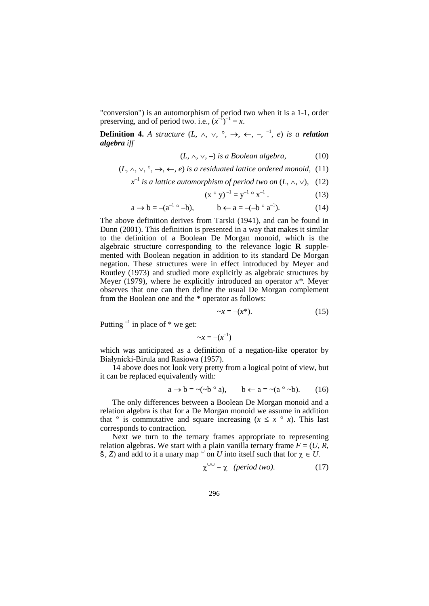"conversion") is an automorphism of period two when it is a 1-1, order preserving, and of period two. i.e.,  $(x^{-1})^{-1} = x$ .

**Definition 4.** A structure  $(L, \wedge, \vee, \vee, \rightarrow, \leftarrow, -, \neg, -1, e)$  is a **relation** *algebra iff*

$$
(L, \land, \lor, -) \text{ is a Boolean algebra}, \tag{10}
$$

(*L*, ∧, ∨, °, →, ←, *e*) *is a residuated lattice ordered monoid,* (11)

*x* –1 *is a lattice automorphism of period two on* (*L*, ∧, ∨), (12)

$$
(x \circ y)^{-1} = y^{-1} \circ x^{-1}.
$$
 (13)

$$
a \to b = -(a^{-1} \circ -b), \qquad b \gets a = -(-b \circ a^{-1}). \tag{14}
$$

The above definition derives from Tarski (1941), and can be found in Dunn (2001). This definition is presented in a way that makes it similar to the definition of a Boolean De Morgan monoid, which is the algebraic structure corresponding to the relevance logic **R** supplemented with Boolean negation in addition to its standard De Morgan negation. These structures were in effect introduced by Meyer and Routley (1973) and studied more explicitly as algebraic structures by Meyer (1979), where he explicitly introduced an operator *x\**. Meyer observes that one can then define the usual De Morgan complement from the Boolean one and the \* operator as follows:

$$
\neg x = -(x^*). \tag{15}
$$

Putting  $^{-1}$  in place of  $*$  we get:

$$
\sim x = -(x^{-1})
$$

which was anticipated as a definition of a negation-like operator by Białynicki-Birula and Rasiowa (1957).

14 above does not look very pretty from a logical point of view, but it can be replaced equivalently with:

$$
a \to b = \sim(\sim b \circ a), \qquad b \leftarrow a = \sim(a \circ \sim b). \tag{16}
$$

The only differences between a Boolean De Morgan monoid and a relation algebra is that for a De Morgan monoid we assume in addition that  $\circ$  is commutative and square increasing ( $x \leq x \circ x$ ). This last corresponds to contraction.

Next we turn to the ternary frames appropriate to representing relation algebras. We start with a plain vanilla ternary frame  $F = (U, R, T)$  $\check{\mathbf{S}}$ , *Z*) and add to it a unary map  $\check{\circ}$  on *U* into itself such that for  $\chi \in U$ .

$$
\chi^{\cup \cup} = \chi \quad (period \, two). \tag{17}
$$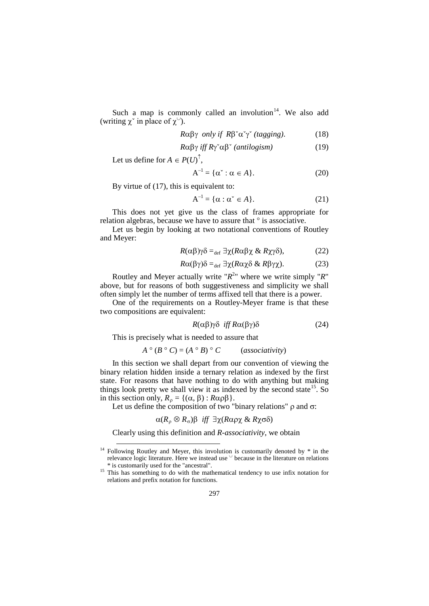Such a map is commonly called an involution $14$ . We also add (writing  $\chi^{\circ}$  in place of  $\chi^{\circ}$ ).

$$
R\alpha\beta\gamma \ only \ if \ R\beta^{\check{}}\alpha^{\check{}}\gamma^{\check{}} \ (tagging). \tag{18}
$$

$$
R\alpha\beta\gamma \; \text{iff} \; R\gamma\alpha\beta\text{``}(\text{antilogism})\tag{19}
$$

Let us define for  $A \in P(U)^{\uparrow}$ ,

$$
A^{-1} = \{ \alpha^* : \alpha \in A \}. \tag{20}
$$

By virtue of (17), this is equivalent to:

$$
A^{-1} = \{ \alpha : \alpha^* \in A \}. \tag{21}
$$

This does not yet give us the class of frames appropriate for relation algebras, because we have to assure that ° is associative.

Let us begin by looking at two notational conventions of Routley and Meyer:

$$
R(\alpha\beta)\gamma\delta =_{\text{def}} \exists \chi (R\alpha\beta\chi \& R\chi\gamma\delta), \tag{22}
$$

$$
R\alpha(\beta\gamma)\delta =_{\text{def}} \exists \chi (R\alpha\chi\delta \& R\beta\gamma\chi). \tag{23}
$$

Routley and Meyer actually write " $R^{2n}$  where we write simply "R" above, but for reasons of both suggestiveness and simplicity we shall often simply let the number of terms affixed tell that there is a power.

One of the requirements on a Routley-Meyer frame is that these two compositions are equivalent:

$$
R(\alpha\beta)\gamma\delta \quad \text{iff } R\alpha(\beta\gamma)\delta \tag{24}
$$

This is precisely what is needed to assure that

$$
A \circ (B \circ C) = (A \circ B) \circ C \qquad (associativity)
$$

In this section we shall depart from our convention of viewing the binary relation hidden inside a ternary relation as indexed by the first state. For reasons that have nothing to do with anything but making things look pretty we shall view it as indexed by the second state<sup>15</sup>. So in this section only,  $R_\rho = \{(\alpha, \beta) : R \alpha \rho \beta\}.$ 

Let us define the composition of two "binary relations"  $ρ$  and  $σ$ :

$$
\alpha(R_\rho \otimes R_\sigma)\beta
$$
 iff  $\exists \chi(R\alpha\rho\chi \& R\chi\sigma\delta)$ 

Clearly using this definition and *R-associativity*, we obtain

<span id="page-15-0"></span> $14$  Following Routley and Meyer, this involution is customarily denoted by  $*$  in the relevance logic literature. Here we instead use  $\vee$  because in the literature on relations \* is customarily used for the "ancestral".  $\overline{a}$ 

<sup>&</sup>lt;sup>15</sup> This has something to do with the mathematical tendency to use infix notation for relations and prefix notation for functions.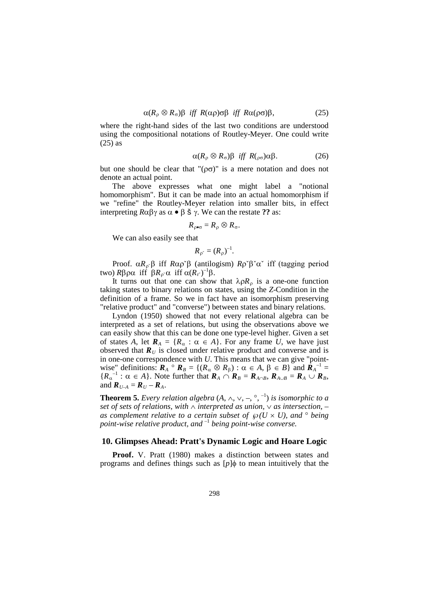$$
\alpha(R_{\rho} \otimes R_{\sigma})\beta \quad \text{iff} \quad R(\alpha \rho) \sigma \beta \quad \text{iff} \quad R\alpha(\rho \sigma)\beta, \tag{25}
$$

where the right-hand sides of the last two conditions are understood using the compositional notations of Routley-Meyer. One could write (25) as

$$
\alpha(R_{\rho} \otimes R_{\sigma})\beta \quad \text{iff} \quad R(\rho_{\sigma})\alpha\beta. \tag{26}
$$

but one should be clear that " $(\rho \sigma)$ " is a mere notation and does not denote an actual point.

The above expresses what one might label a "notional homomorphism". But it can be made into an actual homomorphism if we "refine" the Routley-Meyer relation into smaller bits, in effect interpreting *R*αβγ as α • β š γ. We can the restate **??** as:

$$
R_{\rho \bullet \sigma} = R_{\rho} \otimes R_{\sigma}.
$$

We can also easily see that

$$
R_{\rho} = (R_{\rho})^{-1}
$$
.

Proof. α*R*<sup>ρ</sup>ˇβ iff *R*αρˇβ (antilogism) *R*ρˇβˇαˇ iff (tagging period two)  $R\beta \rho \alpha$  iff  $\beta R_{\rho} \alpha$  iff  $\alpha (R_{r})^{-1} \beta$ .

It turns out that one can show that  $\lambda \rho R_{\rho}$  is a one-one function taking states to binary relations on states, using the *Z*-Condition in the definition of a frame. So we in fact have an isomorphism preserving "relative product" and "converse") between states and binary relations.

Lyndon (1950) showed that not every relational algebra can be interpreted as a set of relations, but using the observations above we can easily show that this can be done one type-level higher. Given a set of states *A*, let  $\mathbf{R}_A = \{R_\alpha : \alpha \in A\}$ . For any frame *U*, we have just observed that  $\mathbf{R}_U$  is closed under relative product and converse and is in one-one correspondence with *U*. This means that we can give "pointwise" definitions:  $\mathbf{R}_A \circ \mathbf{R}_B = \{ (R_\alpha \otimes R_\beta) : \alpha \in A, \beta \in B \}$  and  $\mathbf{R}_A^{-1} =$  ${R_{\alpha}}^{-1}$ :  $\alpha \in A$ . Note further that  $\mathbf{R}_A \cap \mathbf{R}_B = \mathbf{R}_{A \cap B}$ ,  $\mathbf{R}_{A \cup B} = \mathbf{R}_A \cup \mathbf{R}_B$ , and  $\boldsymbol{R}_{U-A} = \boldsymbol{R}_U - \boldsymbol{R}_A$ .

**Theorem 5.** *Every relation algebra*  $(A, \wedge, \vee, -, \circ, ^{-1})$  *is isomorphic to a set of sets of relations, with* ∧ *interpreted as union,* ∨ *as intersection, – as complement relative to a certain subset of*  $\wp(U \times U)$ *, and*  $\degree$  *being point-wise relative product, and* –1 *being point-wise converse.*

## **10. Glimpses Ahead: Pratt's Dynamic Logic and Hoare Logic**

**Proof.** V. Pratt (1980) makes a distinction between states and programs and defines things such as [*p*]φ to mean intuitively that the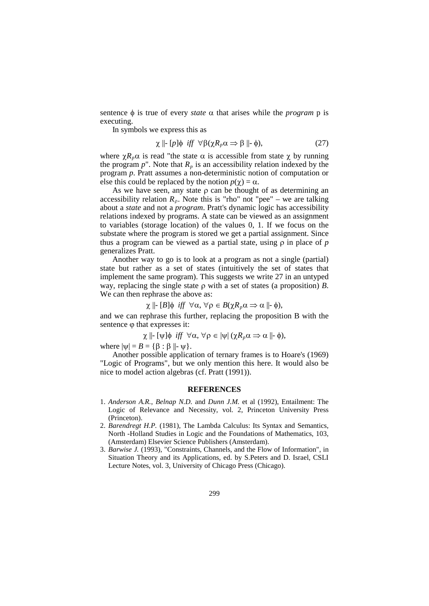sentence  $φ$  is true of every *state*  $α$  that arises while the *program*  $p$  is executing.

In symbols we express this as

$$
\chi \parallel [p] \phi \; \text{iff} \; \forall \beta (\chi R_p \alpha \Rightarrow \beta \parallel \phi), \tag{27}
$$

where  $\chi R_p \alpha$  is read "the state  $\alpha$  is accessible from state  $\chi$  by running the program  $p$ ". Note that  $R_p$  is an accessibility relation indexed by the program *p*. Pratt assumes a non-deterministic notion of computation or else this could be replaced by the notion  $p(\gamma) = \alpha$ .

As we have seen, any state  $\rho$  can be thought of as determining an accessibility relation  $R_p$ . Note this is "rho" not "pee" – we are talking about a *state* and not a *program*. Pratt's dynamic logic has accessibility relations indexed by programs. A state can be viewed as an assignment to variables (storage location) of the values 0, 1. If we focus on the substate where the program is stored we get a partial assignment. Since thus a program can be viewed as a partial state, using ρ in place of *p* generalizes Pratt.

Another way to go is to look at a program as not a single (partial) state but rather as a set of states (intuitively the set of states that implement the same program). This suggests we write 27 in an untyped way, replacing the single state ρ with a set of states (a proposition) *B*. We can then rephrase the above as:

$$
\chi \Vdash [B]\phi \text{ iff } \forall \alpha, \forall \rho \in B(\chi R_p \alpha \Rightarrow \alpha \Vdash \phi),
$$

and we can rephrase this further, replacing the proposition B with the sentence  $\varphi$  that expresses it:

$$
\chi \parallel \vdash [\psi] \phi \text{ iff } \forall \alpha, \forall \rho \in |\psi| \ (\chi R_{p} \alpha \Longrightarrow \alpha \parallel \vdash \phi),
$$

where  $|\psi| = B = {\beta : \beta ||\psi}.$ 

Another possible application of ternary frames is to Hoare's (1969) "Logic of Programs", but we only mention this here. It would also be nice to model action algebras (cf. Pratt (1991)).

#### **REFERENCES**

- 1. *Anderson A.R.*, *Belnap N.D.* and *Dunn J.M.* et al (1992), Entailment: The Logic of Relevance and Necessity, vol. 2, Princeton University Press (Princeton).
- 2. *Barendregt H.P.* (1981), The Lambda Calculus: Its Syntax and Semantics, North -Holland Studies in Logic and the Foundations of Mathematics, 103, (Amsterdam) Elsevier Science Publishers (Amsterdam).
- 3. *Barwise J.* (1993), "Constraints, Channels, and the Flow of Information", in Situation Theory and its Applications, ed. by S.Peters and D. Israel, CSLI Lecture Notes, vol. 3, University of Chicago Press (Chicago).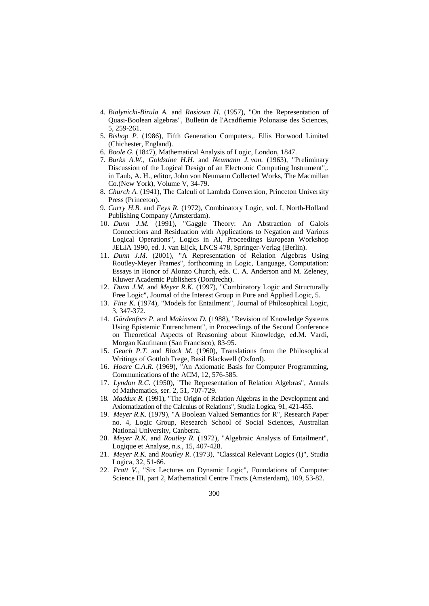- 4. *Bialynicki-Birula A.* and *Rasiowa H.* (1957), "On the Representation of Quasi-Boolean algebras", Bulletin de l'Acadfiemie Polonaise des Sciences, 5, 259-261.
- 5. *Bishop P.* (1986), Fifth Generation Computers,. Ellis Horwood Limited (Chichester, England).
- 6. *Boole G.* (1847), Mathematical Analysis of Logic, London, 1847.
- 7. *Burks A.W.*, *Goldstine H.H.* and *Neumann J. von.* (1963), "Preliminary Discussion of the Logical Design of an Electronic Computing Instrument",. in Taub, A. H., editor, John von Neumann Collected Works, The Macmillan Co.(New York), Volume V, 34-79.
- 8. *Church A.* (1941), The Calculi of Lambda Conversion, Princeton University Press (Princeton).
- 9. *Curry H.B.* and *Feys R.* (1972), Combinatory Logic, vol. I, North-Holland Publishing Company (Amsterdam).
- 10. *Dunn J.M.* (1991), "Gaggle Theory: An Abstraction of Galois Connections and Residuation with Applications to Negation and Various Logical Operations", Logics in AI, Proceedings European Workshop JELIA 1990, ed. J. van Eijck, LNCS 478, Springer-Verlag (Berlin).
- 11. *Dunn J.M.* (2001), "A Representation of Relation Algebras Using Routley-Meyer Frames", forthcoming in Logic, Language, Computation: Essays in Honor of Alonzo Church, eds. C. A. Anderson and M. Zeleney, Kluwer Academic Publishers (Dordrecht).
- 12. *Dunn J.M.* and *Meyer R.K.* (1997), "Combinatory Logic and Structurally Free Logic", Journal of the Interest Group in Pure and Applied Logic, 5.
- 13. *Fine K.* (1974), "Models for Entailment", Journal of Philosophical Logic, 3, 347-372.
- 14. *Gärdenfors P.* and *Makinson D.* (1988), "Revision of Knowledge Systems Using Epistemic Entrenchment", in Proceedings of the Second Conference on Theoretical Aspects of Reasoning about Knowledge, ed.M. Vardi, Morgan Kaufmann (San Francisco), 83-95.
- 15. *Geach P.T.* and *Black M.* (1960), Translations from the Philosophical Writings of Gottlob Frege, Basil Blackwell (Oxford).
- 16. *Hoare C.A.R.* (1969), "An Axiomatic Basis for Computer Programming, Communications of the ACM, 12, 576-585.
- 17. *Lyndon R.C.* (1950), "The Representation of Relation Algebras", Annals of Mathematics, ser. 2, 51, 707-729.
- 18. *Maddux R.* (1991), "The Origin of Relation Algebras in the Development and Axiomatization of the Calculus of Relations", Studia Logica, 91, 421-455.
- 19. *Meyer R.K.* (1979), "A Boolean Valued Semantics for R", Research Paper no. 4, Logic Group, Research School of Social Sciences, Australian National University, Canberra.
- 20. *Meyer R.K.* and *Routley R.* (1972), "Algebraic Analysis of Entailment", Logique et Analyse, n.s., 15, 407-428.
- 21. *Meyer R.K.* and *Routley R.* (1973), "Classical Relevant Logics (I)", Studia Logica, 32, 51-66.
- 22. *Pratt V.*, "Six Lectures on Dynamic Logic", Foundations of Computer Science III, part 2, Mathematical Centre Tracts (Amsterdam), 109, 53-82.